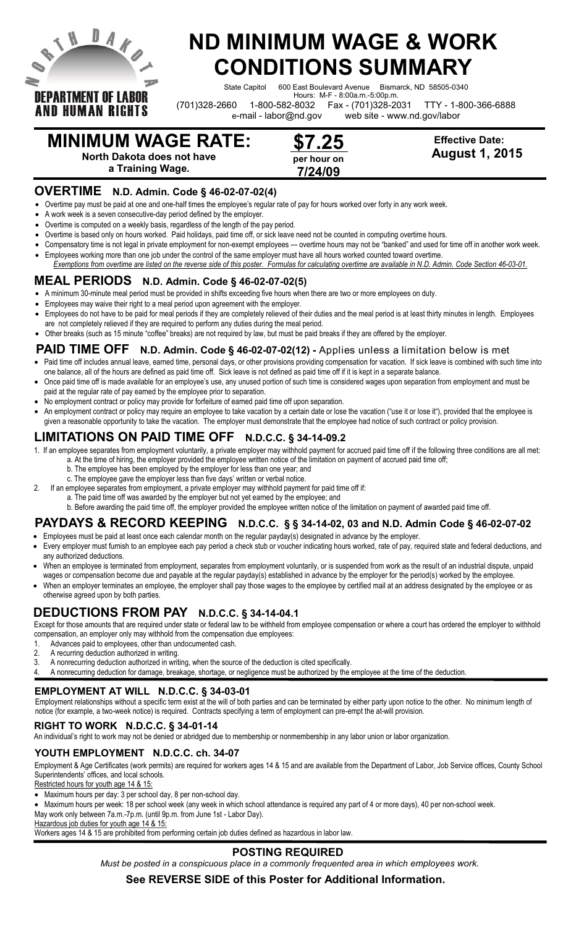

**AND HUMAN RIGHTS** 

# **ND MINIMUM WAGE & WORK CONDITIONS SUMMARY**

State Capitol 600 East Boulevard Avenue Bismarck, ND 58505-0340

Hours: M-F - 8:00a.m.-5:00p.m.

(701)328-2660 1-800-582-8032 Fax - (701)328-2031 TTY - 1-800-366-6888

e-mail - labor@nd.gov web site - www.nd.gov/labor

# **MINIMUM WAGE RATE:**

**North Dakota does not have**

**a Training Wage.**

### **OVERTIME N.D. Admin. Code § 46-02-07-02(4)**

Overtime pay must be paid at one and one-half times the employee's regular rate of pay for hours worked over forty in any work week.

- A work week is a seven consecutive-day period defined by the employer.
- Overtime is computed on a weekly basis, regardless of the length of the pay period.
- Overtime is based only on hours worked. Paid holidays, paid time off, or sick leave need not be counted in computing overtime hours.
- Compensatory time is not legal in private employment for non-exempt employees overtime hours may not be "banked" and used for time off in another work week. Employees working more than one job under the control of the same employer must have all hours worked counted toward overtime.
- *Exemptions from overtime are listed on the reverse side of this poster. Formulas for calculating overtime are available in N.D. Admin. Code Section 46-03-01.*

# **MEAL PERIODS N.D. Admin. Code § 46-02-07-02(5)**

- A minimum 30-minute meal period must be provided in shifts exceeding five hours when there are two or more employees on duty.
- Employees may waive their right to a meal period upon agreement with the employer.
- Employees do not have to be paid for meal periods if they are completely relieved of their duties and the meal period is at least thirty minutes in length. Employees are not completely relieved if they are required to perform any duties during the meal period.
- Other breaks (such as 15 minute "coffee" breaks) are not required by law, but must be paid breaks if they are offered by the employer.

## **PAID TIME OFF N.D. Admin. Code § 46-02-07-02(12) -** Applies unless a limitation below is met

- Paid time off includes annual leave, earned time, personal days, or other provisions providing compensation for vacation. If sick leave is combined with such time into one balance, all of the hours are defined as paid time off. Sick leave is not defined as paid time off if it is kept in a separate balance.
- Once paid time off is made available for an employee's use, any unused portion of such time is considered wages upon separation from employment and must be paid at the regular rate of pay earned by the employee prior to separation.
- No employment contract or policy may provide for forfeiture of earned paid time off upon separation.
- An employment contract or policy may require an employee to take vacation by a certain date or lose the vacation ("use it or lose it"), provided that the employee is given a reasonable opportunity to take the vacation. The employer must demonstrate that the employee had notice of such contract or policy provision.

# **LIMITATIONS ON PAID TIME OFF N.D.C.C. § 34-14-09.2**

- 1. If an employee separates from employment voluntarily, a private employer may withhold payment for accrued paid time off if the following three conditions are all met: a. At the time of hiring, the employer provided the employee written notice of the limitation on payment of accrued paid time off;
	- b. The employee has been employed by the employer for less than one year; and
	- c. The employee gave the employer less than five days' written or verbal notice.
- 2. If an employee separates from employment, a private employer may withhold payment for paid time off if:
	- a. The paid time off was awarded by the employer but not yet earned by the employee; and

b. Before awarding the paid time off, the employer provided the employee written notice of the limitation on payment of awarded paid time off.

# **PAYDAYS & RECORD KEEPING N.D.C.C. § § 34-14-02, 03 and N.D. Admin Code § 46-02-07-02**

- Employees must be paid at least once each calendar month on the regular payday(s) designated in advance by the employer. Every employer must furnish to an employee each pay period a check stub or voucher indicating hours worked, rate of pay, required state and federal deductions, and any authorized deductions.
- When an employee is terminated from employment, separates from employment voluntarily, or is suspended from work as the result of an industrial dispute, unpaid wages or compensation become due and payable at the regular payday(s) established in advance by the employer for the period(s) worked by the employee.
- When an employer terminates an employee, the employer shall pay those wages to the employee by certified mail at an address designated by the employee or as otherwise agreed upon by both parties.

# **DEDUCTIONS FROM PAY N.D.C.C. § 34-14-04.1**

Except for those amounts that are required under state or federal law to be withheld from employee compensation or where a court has ordered the employer to withhold compensation, an employer only may withhold from the compensation due employees:

- 1. Advances paid to employees, other than undocumented cash.
- 2. A recurring deduction authorized in writing.
- 3. A nonrecurring deduction authorized in writing, when the source of the deduction is cited specifically.
- 4. A nonrecurring deduction for damage, breakage, shortage, or negligence must be authorized by the employee at the time of the deduction.

# **EMPLOYMENT AT WILL N.D.C.C. § 34-03-01**

Employment relationships without a specific term exist at the will of both parties and can be terminated by either party upon notice to the other. No minimum length of notice (for example, a two-week notice) is required. Contracts specifying a term of employment can pre-empt the at-will provision.

# **RIGHT TO WORK N.D.C.C. § 34-01-14**

An individual's right to work may not be denied or abridged due to membership or nonmembership in any labor union or labor organization.

# **YOUTH EMPLOYMENT N.D.C.C. ch. 34-07**

Employment & Age Certificates (work permits) are required for workers ages 14 & 15 and are available from the Department of Labor, Job Service offices, County School Superintendents' offices, and local schools.

Restricted hours for youth age 14 & 15:

Maximum hours per day: 3 per school day, 8 per non-school day.

 Maximum hours per week: 18 per school week (any week in which school attendance is required any part of 4 or more days), 40 per non-school week. May work only between 7a.m.-7p.m. (until 9p.m. from June 1st - Labor Day).

Hazardous job duties for youth age 14 & 15:

Workers ages 14 & 15 are prohibited from performing certain job duties defined as hazardous in labor law.

### **POSTING REQUIRED**

*Must be posted in a conspicuous place in a commonly frequented area in which employees work.*

### **See REVERSE SIDE of this Poster for Additional Information.**

 **Effective Date: August 1, 2015**

**\$7.25 per hour on 7/24/09**